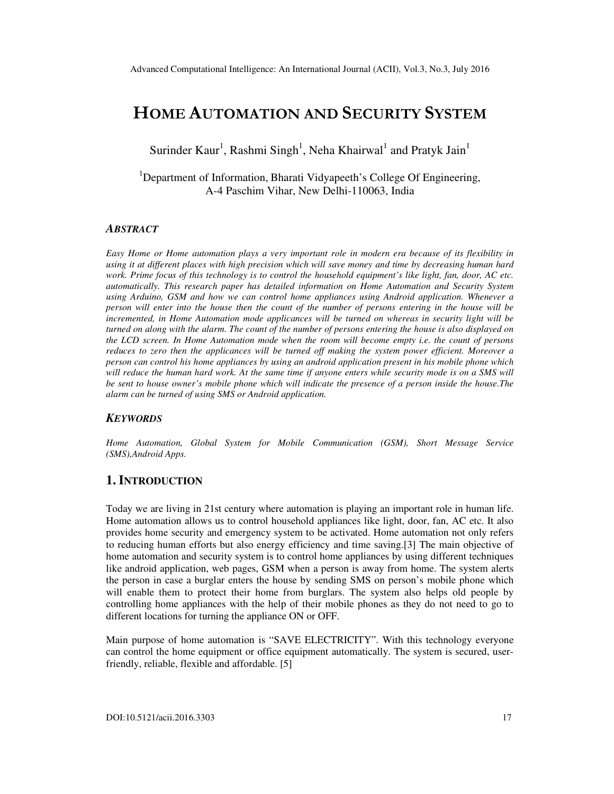# HOME AUTOMATION AND SECURITY SYSTEM

Surinder Kaur<sup>1</sup>, Rashmi Singh<sup>1</sup>, Neha Khairwal<sup>1</sup> and Pratyk Jain<sup>1</sup>

<sup>1</sup>Department of Information, Bharati Vidyapeeth's College Of Engineering, A-4 Paschim Vihar, New Delhi-110063, India

#### *ABSTRACT*

*Easy Home or Home automation plays a very important role in modern era because of its flexibility in using it at different places with high precision which will save money and time by decreasing human hard work. Prime focus of this technology is to control the household equipment's like light, fan, door, AC etc. automatically. This research paper has detailed information on Home Automation and Security System using Arduino, GSM and how we can control home appliances using Android application. Whenever a person will enter into the house then the count of the number of persons entering in the house will be incremented, in Home Automation mode applicances will be turned on whereas in security light will be turned on along with the alarm. The count of the number of persons entering the house is also displayed on the LCD screen. In Home Automation mode when the room will become empty i.e. the count of persons reduces to zero then the applicances will be turned off making the system power efficient. Moreover a person can control his home appliances by using an android application present in his mobile phone which*  will reduce the human hard work. At the same time if anyone enters while security mode is on a SMS will *be sent to house owner's mobile phone which will indicate the presence of a person inside the house.The alarm can be turned of using SMS or Android application.* 

#### *KEYWORDS*

*Home Automation, Global System for Mobile Communication (GSM), Short Message Service (SMS),Android Apps.* 

### **1. INTRODUCTION**

Today we are living in 21st century where automation is playing an important role in human life. Home automation allows us to control household appliances like light, door, fan, AC etc. It also provides home security and emergency system to be activated. Home automation not only refers to reducing human efforts but also energy efficiency and time saving.[3] The main objective of home automation and security system is to control home appliances by using different techniques like android application, web pages, GSM when a person is away from home. The system alerts the person in case a burglar enters the house by sending SMS on person's mobile phone which will enable them to protect their home from burglars. The system also helps old people by controlling home appliances with the help of their mobile phones as they do not need to go to different locations for turning the appliance ON or OFF.

Main purpose of home automation is "SAVE ELECTRICITY". With this technology everyone can control the home equipment or office equipment automatically. The system is secured, userfriendly, reliable, flexible and affordable. [5]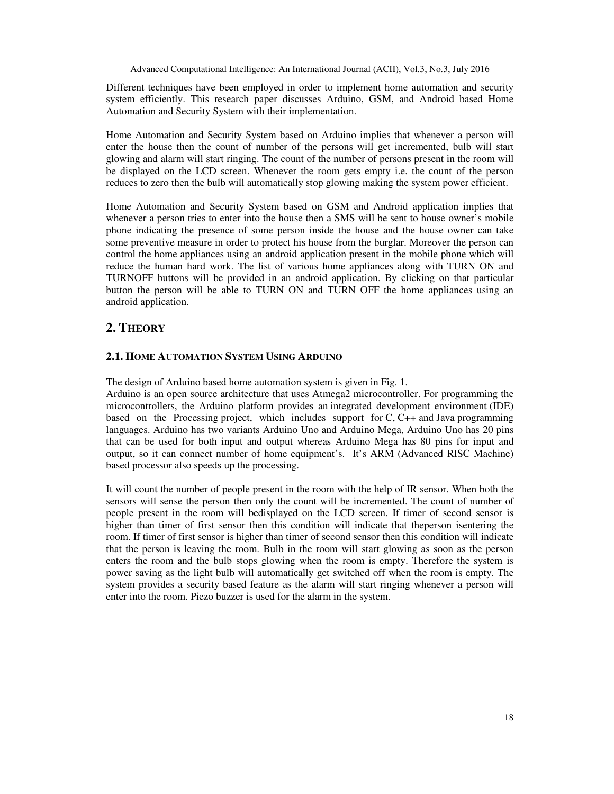Advanced Computational Intelligence: An International Journal (ACII), Vol.3, No.3, July 2016

Different techniques have been employed in order to implement home automation and security system efficiently. This research paper discusses Arduino, GSM, and Android based Home Automation and Security System with their implementation.

Home Automation and Security System based on Arduino implies that whenever a person will enter the house then the count of number of the persons will get incremented, bulb will start glowing and alarm will start ringing. The count of the number of persons present in the room will be displayed on the LCD screen. Whenever the room gets empty i.e. the count of the person reduces to zero then the bulb will automatically stop glowing making the system power efficient.

Home Automation and Security System based on GSM and Android application implies that whenever a person tries to enter into the house then a SMS will be sent to house owner's mobile phone indicating the presence of some person inside the house and the house owner can take some preventive measure in order to protect his house from the burglar. Moreover the person can control the home appliances using an android application present in the mobile phone which will reduce the human hard work. The list of various home appliances along with TURN ON and TURNOFF buttons will be provided in an android application. By clicking on that particular button the person will be able to TURN ON and TURN OFF the home appliances using an android application.

# **2. THEORY**

## **2.1. HOME AUTOMATION SYSTEM USING ARDUINO**

The design of Arduino based home automation system is given in Fig. 1.

Arduino is an open source architecture that uses Atmega2 microcontroller. For programming the microcontrollers, the Arduino platform provides an integrated development environment (IDE) based on the Processing project, which includes support for C, C++ and Java programming languages. Arduino has two variants Arduino Uno and Arduino Mega, Arduino Uno has 20 pins that can be used for both input and output whereas Arduino Mega has 80 pins for input and output, so it can connect number of home equipment's. It's ARM (Advanced RISC Machine) based processor also speeds up the processing.

It will count the number of people present in the room with the help of IR sensor. When both the sensors will sense the person then only the count will be incremented. The count of number of people present in the room will bedisplayed on the LCD screen. If timer of second sensor is higher than timer of first sensor then this condition will indicate that theperson isentering the room. If timer of first sensor is higher than timer of second sensor then this condition will indicate that the person is leaving the room. Bulb in the room will start glowing as soon as the person enters the room and the bulb stops glowing when the room is empty. Therefore the system is power saving as the light bulb will automatically get switched off when the room is empty. The system provides a security based feature as the alarm will start ringing whenever a person will enter into the room. Piezo buzzer is used for the alarm in the system.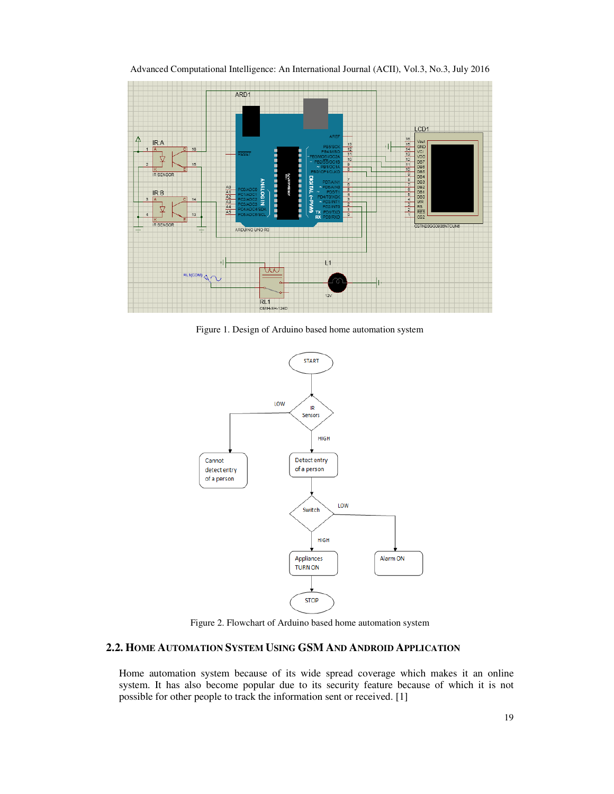

Advanced Computational Intelligence: An International Journal (ACII), Vol.3, No.3, July 2016

Figure 1. Design of Arduino based home automation system



Figure 2. Flowchart of Arduino based home automation system

## **2.2. HOME AUTOMATION SYSTEM USING GSM AND ANDROID APPLICATION**

Home automation system because of its wide spread coverage which makes it an online system. It has also become popular due to its security feature because of which it is not possible for other people to track the information sent or received. [1]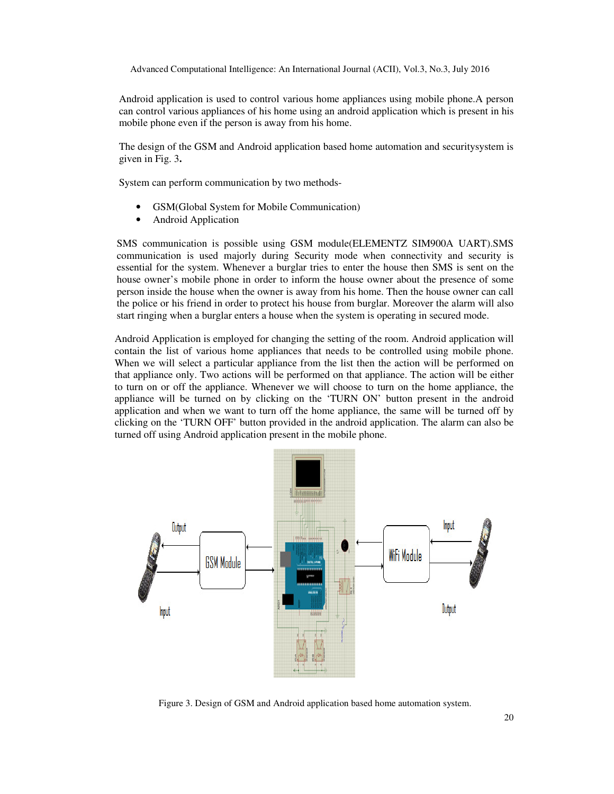Android application is used to control various home appliances using mobile phone.A person can control various appliances of his home using an android application which is present in his mobile phone even if the person is away from his home.

The design of the GSM and Android application based home automation and securitysystem is given in Fig. 3**.** 

System can perform communication by two methods-

- GSM(Global System for Mobile Communication)
- Android Application

SMS communication is possible using GSM module(ELEMENTZ SIM900A UART).SMS communication is used majorly during Security mode when connectivity and security is essential for the system. Whenever a burglar tries to enter the house then SMS is sent on the house owner's mobile phone in order to inform the house owner about the presence of some person inside the house when the owner is away from his home. Then the house owner can call the police or his friend in order to protect his house from burglar. Moreover the alarm will also start ringing when a burglar enters a house when the system is operating in secured mode.

Android Application is employed for changing the setting of the room. Android application will contain the list of various home appliances that needs to be controlled using mobile phone. When we will select a particular appliance from the list then the action will be performed on that appliance only. Two actions will be performed on that appliance. The action will be either to turn on or off the appliance. Whenever we will choose to turn on the home appliance, the appliance will be turned on by clicking on the 'TURN ON' button present in the android application and when we want to turn off the home appliance, the same will be turned off by clicking on the 'TURN OFF' button provided in the android application. The alarm can also be turned off using Android application present in the mobile phone.



Figure 3. Design of GSM and Android application based home automation system.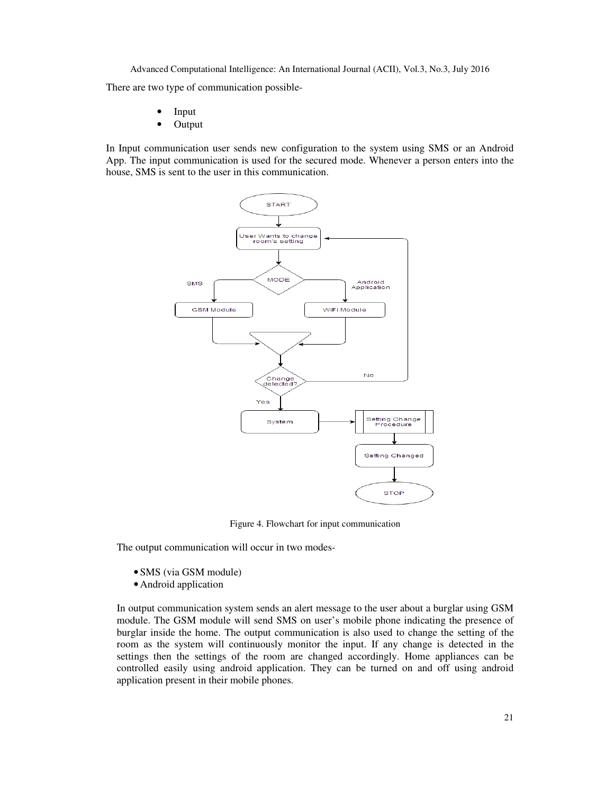There are two type of communication possible-

- Input
- Output

In Input communication user sends new configuration to the system using SMS or an Android App. The input communication is used for the secured mode. Whenever a person enters into the house, SMS is sent to the user in this communication.



Figure 4. Flowchart for input communication

The output communication will occur in two modes-

- SMS (via GSM module)
- •Android application

In output communication system sends an alert message to the user about a burglar using GSM module. The GSM module will send SMS on user's mobile phone indicating the presence of burglar inside the home. The output communication is also used to change the setting of the room as the system will continuously monitor the input. If any change is detected in the settings then the settings of the room are changed accordingly. Home appliances can be controlled easily using android application. They can be turned on and off using android application present in their mobile phones.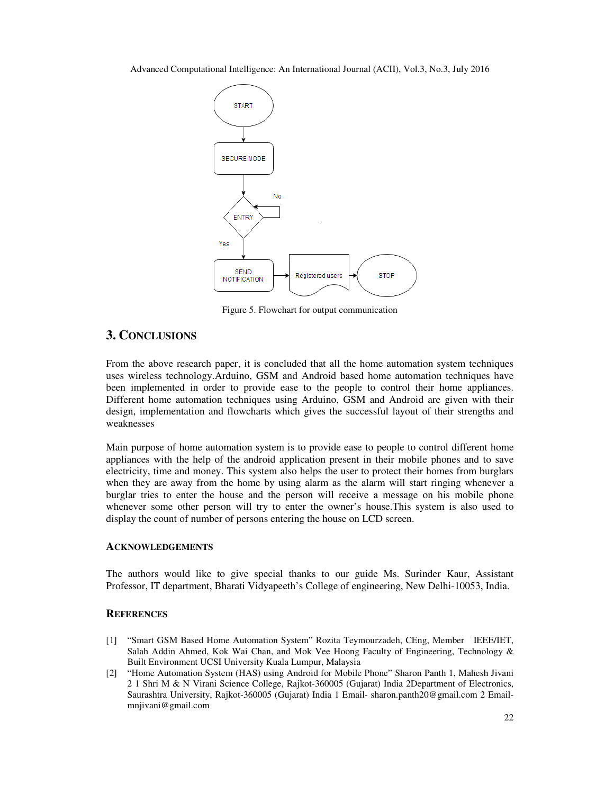

Figure 5. Flowchart for output communication

## **3. CONCLUSIONS**

From the above research paper, it is concluded that all the home automation system techniques uses wireless technology.Arduino, GSM and Android based home automation techniques have been implemented in order to provide ease to the people to control their home appliances. Different home automation techniques using Arduino, GSM and Android are given with their design, implementation and flowcharts which gives the successful layout of their strengths and weaknesses

Main purpose of home automation system is to provide ease to people to control different home appliances with the help of the android application present in their mobile phones and to save electricity, time and money. This system also helps the user to protect their homes from burglars when they are away from the home by using alarm as the alarm will start ringing whenever a burglar tries to enter the house and the person will receive a message on his mobile phone whenever some other person will try to enter the owner's house.This system is also used to display the count of number of persons entering the house on LCD screen.

#### **ACKNOWLEDGEMENTS**

The authors would like to give special thanks to our guide Ms. Surinder Kaur, Assistant Professor, IT department, Bharati Vidyapeeth's College of engineering, New Delhi-10053, India.

#### **REFERENCES**

- [1] "Smart GSM Based Home Automation System" Rozita Teymourzadeh, CEng, Member IEEE/IET, Salah Addin Ahmed, Kok Wai Chan, and Mok Vee Hoong Faculty of Engineering, Technology & Built Environment UCSI University Kuala Lumpur, Malaysia
- [2] "Home Automation System (HAS) using Android for Mobile Phone" Sharon Panth 1, Mahesh Jivani 2 1 Shri M & N Virani Science College, Rajkot-360005 (Gujarat) India 2Department of Electronics, Saurashtra University, Rajkot-360005 (Gujarat) India 1 Email- sharon.panth20@gmail.com 2 Emailmnjivani@gmail.com